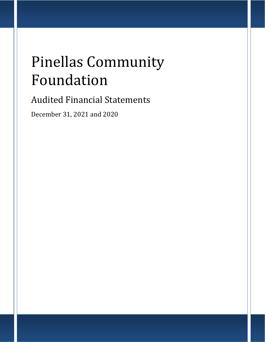# Pinellas Community Foundation

2232 Page Rd. Suite 101 x Durham, NC 27703 1301 66th Street North x St. Petersburg, FL 33710 Phone (919) 598-1120 5201 W Kennedy Blvd x Suite 620 x Tampa, FL 33609

WWW.FRSCPA.COM in the company of the company of the company of the company of the company of the company of the

Audited Financial Statements

December 31, 2021 and 2020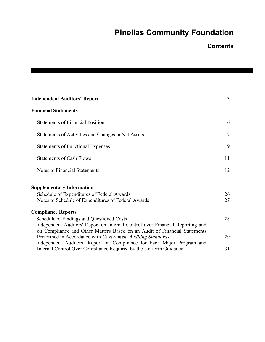## **Pinellas Community Foundation**

## **Contents**

| <b>Independent Auditors' Report</b>                                           | 3  |
|-------------------------------------------------------------------------------|----|
| <b>Financial Statements</b>                                                   |    |
| <b>Statements of Financial Position</b>                                       | 6  |
| Statements of Activities and Changes in Net Assets                            | 7  |
| <b>Statements of Functional Expenses</b>                                      | 9  |
| <b>Statements of Cash Flows</b>                                               | 11 |
| <b>Notes to Financial Statements</b>                                          | 12 |
| <b>Supplementary Information</b>                                              |    |
| Schedule of Expenditures of Federal Awards                                    | 26 |
| Notes to Schedule of Expenditures of Federal Awards                           | 27 |
| <b>Compliance Reports</b>                                                     |    |
| Schedule of Findings and Questioned Costs                                     | 28 |
| Independent Auditors' Report on Internal Control over Financial Reporting and |    |
| on Compliance and Other Matters Based on an Audit of Financial Statements     |    |
| Performed in Accordance with Government Auditing Standards                    | 29 |
| Independent Auditors' Report on Compliance for Each Major Program and         |    |
| Internal Control Over Compliance Required by the Uniform Guidance             | 31 |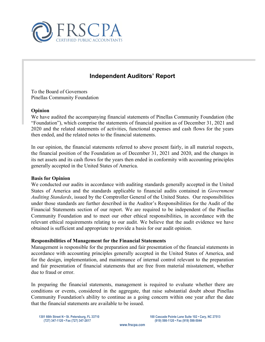

## **Independent Auditors' Report**

To the Board of Governors Pinellas Community Foundation

#### **Opinion**

We have audited the accompanying financial statements of Pinellas Community Foundation (the "Foundation"), which comprise the statements of financial position as of December 31, 2021 and 2020 and the related statements of activities, functional expenses and cash flows for the years then ended, and the related notes to the financial statements.

In our opinion, the financial statements referred to above present fairly, in all material respects, the financial position of the Foundation as of December 31, 2021 and 2020, and the changes in its net assets and its cash flows for the years then ended in conformity with accounting principles generally accepted in the United States of America.

#### **Basis for Opinion**

We conducted our audits in accordance with auditing standards generally accepted in the United States of America and the standards applicable to financial audits contained in *Government Auditing Standards*, issued by the Comptroller General of the United States. Our responsibilities under those standards are further described in the Auditor's Responsibilities for the Audit of the Financial Statements section of our report. We are required to be independent of the Pinellas Community Foundation and to meet our other ethical responsibilities, in accordance with the relevant ethical requirements relating to our audit. We believe that the audit evidence we have obtained is sufficient and appropriate to provide a basis for our audit opinion.

#### **Responsibilities of Management for the Financial Statements**

Management is responsible for the preparation and fair presentation of the financial statements in accordance with accounting principles generally accepted in the United States of America, and for the design, implementation, and maintenance of internal control relevant to the preparation and fair presentation of financial statements that are free from material misstatement, whether due to fraud or error.

In preparing the financial statements, management is required to evaluate whether there are conditions or events, considered in the aggregate, that raise substantial doubt about Pinellas Community Foundation's ability to continue as a going concern within one year after the date that the financial statements are available to be issued.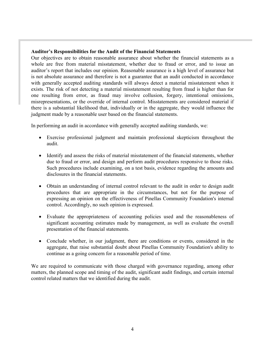#### **Auditor's Responsibilities for the Audit of the Financial Statements**

Our objectives are to obtain reasonable assurance about whether the financial statements as a whole are free from material misstatement, whether due to fraud or error, and to issue an auditor's report that includes our opinion. Reasonable assurance is a high level of assurance but is not absolute assurance and therefore is not a guarantee that an audit conducted in accordance with generally accepted auditing standards will always detect a material misstatement when it exists. The risk of not detecting a material misstatement resulting from fraud is higher than for one resulting from error, as fraud may involve collusion, forgery, intentional omissions, misrepresentations, or the override of internal control. Misstatements are considered material if there is a substantial likelihood that, individually or in the aggregate, they would influence the judgment made by a reasonable user based on the financial statements.

In performing an audit in accordance with generally accepted auditing standards, we:

- Exercise professional judgment and maintain professional skepticism throughout the audit.
- Identify and assess the risks of material misstatement of the financial statements, whether due to fraud or error, and design and perform audit procedures responsive to those risks. Such procedures include examining, on a test basis, evidence regarding the amounts and disclosures in the financial statements.
- Obtain an understanding of internal control relevant to the audit in order to design audit procedures that are appropriate in the circumstances, but not for the purpose of expressing an opinion on the effectiveness of Pinellas Community Foundation's internal control. Accordingly, no such opinion is expressed.
- Evaluate the appropriateness of accounting policies used and the reasonableness of significant accounting estimates made by management, as well as evaluate the overall presentation of the financial statements.
- Conclude whether, in our judgment, there are conditions or events, considered in the aggregate, that raise substantial doubt about Pinellas Community Foundation's ability to continue as a going concern for a reasonable period of time.

We are required to communicate with those charged with governance regarding, among other matters, the planned scope and timing of the audit, significant audit findings, and certain internal control related matters that we identified during the audit.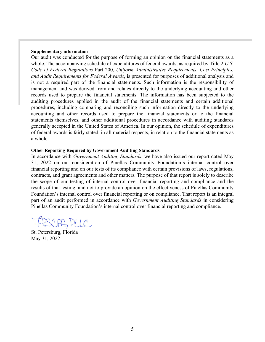#### **Supplementary information**

Our audit was conducted for the purpose of forming an opinion on the financial statements as a whole. The accompanying schedule of expenditures of federal awards, as required by Title 2 *U.S. Code of Federal Regulations* Part 200, *Uniform Administrative Requirements, Cost Principles, and Audit Requirements for Federal Awards*, is presented for purposes of additional analysis and is not a required part of the financial statements. Such information is the responsibility of management and was derived from and relates directly to the underlying accounting and other records used to prepare the financial statements. The information has been subjected to the auditing procedures applied in the audit of the financial statements and certain additional procedures, including comparing and reconciling such information directly to the underlying accounting and other records used to prepare the financial statements or to the financial statements themselves, and other additional procedures in accordance with auditing standards generally accepted in the United States of America. In our opinion, the schedule of expenditures of federal awards is fairly stated, in all material respects, in relation to the financial statements as a whole.

#### **Other Reporting Required by Government Auditing Standards**

In accordance with *Government Auditing Standards*, we have also issued our report dated May 31, 2022 on our consideration of Pinellas Community Foundation's internal control over financial reporting and on our tests of its compliance with certain provisions of laws, regulations, contracts, and grant agreements and other matters. The purpose of that report is solely to describe the scope of our testing of internal control over financial reporting and compliance and the results of that testing, and not to provide an opinion on the effectiveness of Pinellas Community Foundation's internal control over financial reporting or on compliance. That report is an integral part of an audit performed in accordance with *Government Auditing Standards* in considering Pinellas Community Foundation's internal control over financial reporting and compliance.

BCA7, PLLC

St. Petersburg, Florida May 31, 2022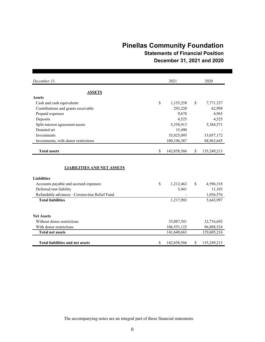## **Pinellas Community Foundation**

**Statements of Financial Position**

**December 31, 2021 and 2020**

| December 31,                                            |               | 2021        | 2020              |
|---------------------------------------------------------|---------------|-------------|-------------------|
| <b>ASSETS</b>                                           |               |             |                   |
| <b>Assets</b>                                           |               |             |                   |
| Cash and cash equivalents                               | $\mathsf{\$}$ | 1,155,258   | \$<br>7,771,337   |
| Contributions and grants receivable                     |               | 293,220     | 62,998            |
| Prepaid expenses                                        |               | 9,678       | 4,965             |
| Deposits                                                |               | 4,525       | 4,525             |
| Split-interest agreement assets                         |               | 5,358,913   | 5,384,571         |
| Donated art                                             |               | 15,490      |                   |
| Investments                                             |               | 35,825,095  | 33,057,172        |
| Investments, with donor restrictions                    |               | 100,196,387 | 88,963,645        |
| <b>Total assets</b>                                     | \$            | 142,858,566 | \$<br>135,249,213 |
| <b>LIABILITIES AND NET ASSETS</b><br><b>Liabilities</b> |               |             |                   |
| Accounts payable and accrued expenses                   | $\mathsf{\$}$ | 1,212,462   | \$<br>4,596,318   |
| Deferred rent liability                                 |               | 5,441       | 11,103            |
| Refundable advances - Coronavirus Relief Fund           |               |             | 1,036,576         |
| <b>Total liabilities</b>                                |               | 1,217,903   | 5,643,997         |
| <b>Net Assets</b>                                       |               |             |                   |
| Without donor restrictions                              |               | 35,087,541  | 32,716,692        |
| With donor restrictions                                 |               | 106,553,122 | 96,888,524        |
| <b>Total net assets</b>                                 |               | 141,640,663 | 129,605,216       |
| <b>Total liabilities and net assets</b>                 | \$            | 142,858,566 | \$<br>135,249,213 |

The accompanying notes are an integral part of these financial statements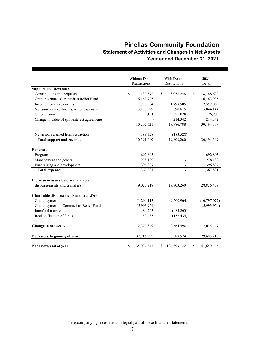## **Pinellas Community Foundation Statement of Activities and Changes in Net Assets Year ended December 31, 2021**

|                                                | <b>Without Donor</b> |              | With Donor |              | 2021              |
|------------------------------------------------|----------------------|--------------|------------|--------------|-------------------|
|                                                |                      | Restrictions |            | Restrictions | <b>Total</b>      |
| <b>Support and Revenue:</b>                    |                      |              |            |              |                   |
| Contributions and bequests                     | \$                   | 130,372      | \$         | 8,058,248    | \$<br>8,188,620   |
| Grant revenue - Coronavirus Relief Fund        |                      | 6,163,925    |            |              | 6,163,925         |
| Income from investments                        |                      | 758,564      |            | 1,798,505    | 2,557,069         |
| Net gain on investments, net of expenses       |                      | 3,153,529    |            | 9,890,615    | 13,044,144        |
| Other income                                   |                      | 1,131        |            | 25,078       | 26,209            |
| Change in value of split-interest agreements   |                      |              |            | 214,342      | 214,342           |
|                                                |                      | 10,207,521   |            | 19,986,788   | 30,194,309        |
| Net assets released from restriction           |                      | 183,528      |            | (183, 528)   |                   |
| <b>Total support and revenue</b>               |                      | 10,391,049   |            | 19,803,260   | 30,194,309        |
| <b>Expenses:</b>                               |                      |              |            |              |                   |
| Program                                        |                      | 692,805      |            |              | 692,805           |
| Management and general                         |                      | 278,189      |            |              | 278,189           |
| Fundraising and development                    |                      | 396,837      |            |              | 396,837           |
| <b>Total expenses</b>                          |                      | 1,367,831    |            |              | 1,367,831         |
| Increase in assets before charitable           |                      |              |            |              |                   |
| disbursements and transfers                    |                      | 9,023,218    |            | 19,803,260   | 28,826,478        |
| <b>Charitable disbursements and transfers:</b> |                      |              |            |              |                   |
| Grant payments                                 |                      | (1,296,113)  |            | (9,500,964)  | (10,797,077)      |
| Grant payments - Coronavirus Relief Fund       |                      | (5,993,954)  |            |              | (5,993,954)       |
| Interfund transfers                            |                      | 484,263      |            | (484, 263)   |                   |
| Reclassification of funds                      |                      | 153,435      |            | (153, 435)   |                   |
|                                                |                      |              |            |              |                   |
| Change in net assets                           |                      | 2,370,849    |            | 9,664,598    | 12,035,447        |
| Net assets, beginning of year                  |                      | 32,716,692   |            | 96,888,524   | 129,605,216       |
| Net assets, end of year                        | \$                   | 35,087,541   | \$         | 106,553,122  | \$<br>141,640,663 |

The accompanying notes are an integral part of these financial statements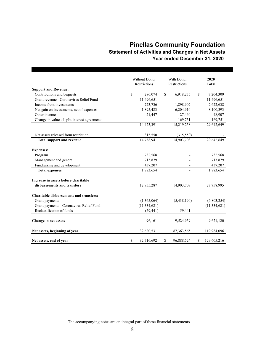## **Pinellas Community Foundation Statement of Activities and Changes in Net Assets Year ended December 31, 2020**

|                                                | <b>Without Donor</b><br>Restrictions | With Donor<br>Restrictions | 2020<br><b>Total</b> |
|------------------------------------------------|--------------------------------------|----------------------------|----------------------|
| <b>Support and Revenue:</b>                    |                                      |                            |                      |
| Contributions and bequests                     | \$<br>286,074                        | \$<br>6,918,235            | \$<br>7,204,309      |
| Grant revenue - Coronavirus Relief Fund        | 11,496,651                           |                            | 11,496,651           |
| Income from investments                        | 723,736                              | 1,898,902                  | 2,622,638            |
| Net gain on investments, net of expenses       | 1,895,483                            | 6,204,910                  | 8,100,393            |
| Other income                                   | 21,447                               | 27,460                     | 48,907               |
| Change in value of split-interest agreements   |                                      | 169,751                    | 169,751              |
|                                                | 14,423,391                           | 15,219,258                 | 29,642,649           |
| Net assets released from restriction           | 315,550                              | (315,550)                  |                      |
| <b>Total support and revenue</b>               | 14,738,941                           | 14,903,708                 | 29,642,649           |
| <b>Expenses:</b>                               |                                      |                            |                      |
| Program                                        | 732,568                              |                            | 732,568              |
| Management and general                         | 713,879                              |                            | 713,879              |
| Fundraising and development                    | 437,207                              |                            | 437,207              |
| <b>Total expenses</b>                          | 1,883,654                            | $\overline{a}$             | 1,883,654            |
| Increase in assets before charitable           |                                      |                            |                      |
| disbursements and transfers                    | 12,855,287                           | 14,903,708                 | 27,758,995           |
| <b>Charitable disbursements and transfers:</b> |                                      |                            |                      |
| Grant payments                                 | (1,365,064)                          | (5,438,190)                | (6,803,254)          |
| Grant payments - Coronavirus Relief Fund       | (11, 334, 621)                       |                            | (11, 334, 621)       |
| Reclassification of funds                      | (59, 441)                            | 59,441                     |                      |
| Change in net assets                           | 96,161                               | 9,524,959                  | 9,621,120            |
| Net assets, beginning of year                  | 32,620,531                           | 87, 363, 565               | 119,984,096          |
| Net assets, end of year                        | \$<br>32,716,692                     | \$<br>96,888,524           | \$<br>129,605,216    |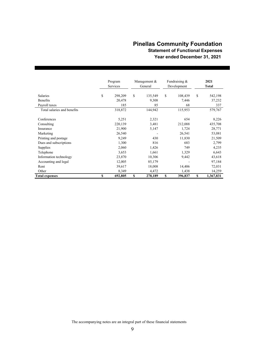#### **Pinellas Community Foundation Statement of Functional Expenses Year ended December 31, 2021**

|                             | Program<br>Services | Management &<br>General | Fundraising &<br>Development | 2021<br><b>Total</b> |
|-----------------------------|---------------------|-------------------------|------------------------------|----------------------|
| <b>Salaries</b>             | \$<br>298,209       | \$<br>135,549           | \$<br>108,439                | \$<br>542,198        |
| Benefits                    | 20,478              | 9,308                   | 7,446                        | 37,232               |
| Payroll taxes               | 185                 | 85                      | 68                           | 337                  |
| Total salaries and benefits | 318,872             | 144,942                 | 115,953                      | 579,767              |
| Conferences                 | 5,251               | 2,321                   | 654                          | 8,226                |
| Consulting                  | 220,139             | 3,481                   | 212,088                      | 435,708              |
| Insurance                   | 21,900              | 5,147                   | 1,724                        | 28,771               |
| Marketing                   | 26,540              |                         | 26,541                       | 53,081               |
| Printing and postage        | 9,249               | 430                     | 11,830                       | 21,509               |
| Dues and subscriptions      | 1,300               | 816                     | 683                          | 2,799                |
| Supplies                    | 2,060               | 1,426                   | 749                          | 4,235                |
| Telephone                   | 3,653               | 1,661                   | 1,329                        | 6,643                |
| Information technology      | 23,870              | 10,306                  | 9,442                        | 43,618               |
| Accounting and legal        | 12,005              | 85,179                  |                              | 97,184               |
| Rent                        | 39,617              | 18,008                  | 14,406                       | 72,031               |
| Other                       | 8,349               | 4,472                   | 1,438                        | 14,259               |
| <b>Total expenses</b>       | \$<br>692,805       | \$<br>278,189           | \$<br>396,837                | \$<br>1,367,831      |

The accompanying notes are an integral part of these financial statements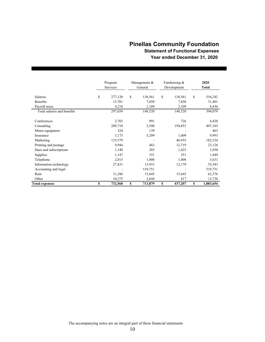## **Pinellas Community Foundation Statement of Functional Expenses Year ended December 31, 2020**

|                             | Program<br>Services | Management &<br>General |             | Fundraising &<br>Development |    | 2020<br><b>Total</b> |
|-----------------------------|---------------------|-------------------------|-------------|------------------------------|----|----------------------|
| <b>Salaries</b>             | \$<br>277,120       | \$<br>138,561           | $\mathbf S$ | 138,561                      | S  | 554,242              |
| <b>Benefits</b>             | 15,701              | 7,850                   |             | 7,850                        |    | 31,401               |
| Payroll taxes               | 4,218               | 2,109                   |             | 2,109                        |    | 8,436                |
| Total salaries and benefits | 297,039             | 148,520                 |             | 148,520                      |    | 594,079              |
| Conferences                 | 2,703               | 991                     |             | 726                          |    | 4,420                |
| Consulting                  | 209,710             | 2,540                   |             | 194,853                      |    | 407,103              |
| Minor equipment             | 324                 | 139                     |             |                              |    | 463                  |
| Insurance                   | 3,175               | 5,209                   |             | 1,609                        |    | 9,993                |
| Marketing                   | 135,579             |                         |             | 46,955                       |    | 182,534              |
| Printing and postage        | 9,944               | 463                     |             | 12,719                       |    | 23,126               |
| Dues and subscriptions      | 1,140               | 285                     |             | 1,425                        |    | 2,850                |
| Supplies                    | 1,147               | 351                     |             | 351                          |    | 1,849                |
| Telephone                   | 2,815               | 1,408                   |             | 1,408                        |    | 5,631                |
| Information technology      | 27,431              | 15,933                  |             | 12,179                       |    | 55,543               |
| Accounting and legal        |                     | 519,751                 |             |                              |    | 519,751              |
| Rent                        | 31,286              | 15,645                  |             | 15,645                       |    | 62,576               |
| Other                       | 10,275              | 2,644                   |             | 817                          |    | 13,736               |
| <b>Total expenses</b>       | \$<br>732,568       | \$<br>713,879           | \$          | 437,207                      | \$ | 1,883,654            |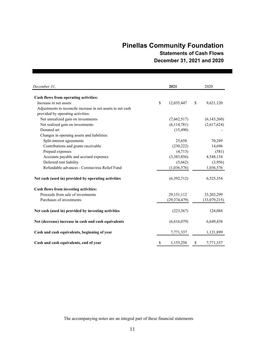## **Pinellas Community Foundation Statements of Cash Flows December 31, 2021 and 2020**

| December 31,                                                | 2021             | 2020            |
|-------------------------------------------------------------|------------------|-----------------|
| Cash flows from operating activities:                       |                  |                 |
| Increase in net assets                                      | \$<br>12,035,447 | \$<br>9,621,120 |
| Adjustments to reconcile increase in net assets to net cash |                  |                 |
| provided by operating activities:                           |                  |                 |
| Net unrealized gain on investments                          | (7,662,517)      | (6,143,260)     |
| Net realized gain on investments                            | (6,114,781)      | (2,617,624)     |
| Donated art                                                 | (15, 490)        |                 |
| Changes in operatng assets and liabilities:                 |                  |                 |
| Split-interest agreements                                   | 25,658           | 70,249          |
| Contributions and grants receivable                         | (230, 222)       | 14,696          |
| Prepaid expenses                                            | (4,713)          | (581)           |
| Accounts payable and accrued expenses                       | (3,383,856)      | 4,548,134       |
| Deferred rent liability                                     | (5,662)          | (3,956)         |
| Refundable advances - Coronavirus Relief Fund               | (1,036,576)      | 1,036,576       |
| Net cash (used in) provided by operating activities         | (6,392,712)      | 6,525,354       |
| Cash flows from investing activities:                       |                  |                 |
| Proceeds from sale of investments                           | 29,151,112       | 33,203,299      |
| Purchases of investments                                    | (29, 374, 479)   | (33,079,215)    |
| Net cash (used in) provided by investing activities         | (223, 367)       | 124,084         |
| Net (decrease) increase in cash and cash equivalents        | (6,616,079)      | 6,649,438       |
| Cash and cash equivalents, beginning of year                | 7,771,337        | 1,121,899       |
| Cash and cash equivalents, end of year                      | 1,155,258        | 7,771,337       |

The accompanying notes are an integral part of these financial statements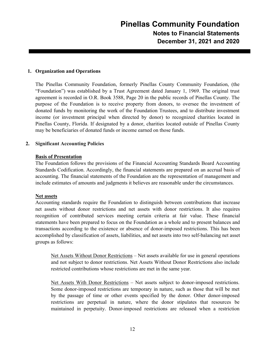#### **1. Organization and Operations**

The Pinellas Community Foundation, formerly Pinellas County Community Foundation, (the "Foundation") was established by a Trust Agreement dated January 1, 1969. The original trust agreement is recorded in O.R. Book 3588, Page 20 in the public records of Pinellas County. The purpose of the Foundation is to receive property from donors, to oversee the investment of donated funds by monitoring the work of the Foundation Trustees, and to distribute investment income (or investment principal when directed by donor) to recognized charities located in Pinellas County, Florida. If designated by a donor, charities located outside of Pinellas County may be beneficiaries of donated funds or income earned on those funds.

#### **2. Significant Accounting Policies**

#### **Basis of Presentation**

The Foundation follows the provisions of the Financial Accounting Standards Board Accounting Standards Codification. Accordingly, the financial statements are prepared on an accrual basis of accounting. The financial statements of the Foundation are the representation of management and include estimates of amounts and judgments it believes are reasonable under the circumstances.

#### **Net assets**

Accounting standards require the Foundation to distinguish between contributions that increase net assets without donor restrictions and net assets with donor restrictions. It also requires recognition of contributed services meeting certain criteria at fair value. These financial statements have been prepared to focus on the Foundation as a whole and to present balances and transactions according to the existence or absence of donor-imposed restrictions. This has been accomplished by classification of assets, liabilities, and net assets into two self-balancing net asset groups as follows:

Net Assets Without Donor Restrictions – Net assets available for use in general operations and not subject to donor restrictions. Net Assets Without Donor Restrictions also include restricted contributions whose restrictions are met in the same year.

Net Assets With Donor Restrictions – Net assets subject to donor-imposed restrictions. Some donor-imposed restrictions are temporary in nature, such as those that will be met by the passage of time or other events specified by the donor. Other donor-imposed restrictions are perpetual in nature, where the donor stipulates that resources be maintained in perpetuity. Donor-imposed restrictions are released when a restriction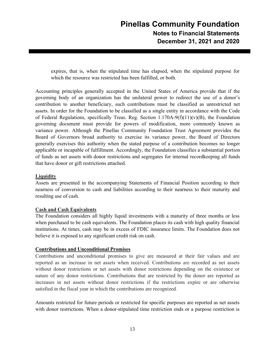expires, that is, when the stipulated time has elapsed, when the stipulated purpose for which the resource was restricted has been fulfilled, or both.

Accounting principles generally accepted in the United States of America provide that if the governing body of an organization has the unilateral power to redirect the use of a donor's contribution to another beneficiary, such contributions must be classified as unrestricted net assets. In order for the Foundation to be classified as a single entity in accordance with the Code of Federal Regulations, specifically Treas. Reg. Section  $1.170A-9(f)(11)(v)(B)$ , the Foundation governing document must provide for powers of modification, more commonly known as variance power. Although the Pinellas Community Foundation Trust Agreement provides the Board of Governors broad authority to exercise its variance power, the Board of Directors generally exercises this authority when the stated purpose of a contribution becomes no longer applicable or incapable of fulfillment. Accordingly, the Foundation classifies a substantial portion of funds as net assets with donor restrictions and segregates for internal recordkeeping all funds that have donor or gift restrictions attached.

#### **Liquidity**

Assets are presented in the accompanying Statements of Financial Position according to their nearness of conversion to cash and liabilities according to their nearness to their maturity and resulting use of cash.

#### **Cash and Cash Equivalents**

The Foundation considers all highly liquid investments with a maturity of three months or less when purchased to be cash equivalents. The Foundation places its cash with high quality financial institutions. At times, cash may be in excess of FDIC insurance limits. The Foundation does not believe it is exposed to any significant credit risk on cash.

#### **Contributions and Unconditional Promises**

Contributions and unconditional promises to give are measured at their fair values and are reported as an increase in net assets when received. Contributions are recorded as net assets without donor restrictions or net assets with donor restrictions depending on the existence or nature of any donor restrictions. Contributions that are restricted by the donor are reported as increases in net assets without donor restrictions if the restrictions expire or are otherwise satisfied in the fiscal year in which the contributions are recognized.

Amounts restricted for future periods or restricted for specific purposes are reported as net assets with donor restrictions. When a donor-stipulated time restriction ends or a purpose restriction is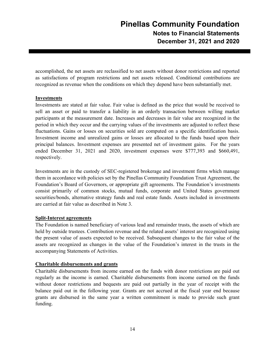accomplished, the net assets are reclassified to net assets without donor restrictions and reported as satisfactions of program restrictions and net assets released. Conditional contributions are recognized as revenue when the conditions on which they depend have been substantially met.

#### **Investments**

Investments are stated at fair value. Fair value is defined as the price that would be received to sell an asset or paid to transfer a liability in an orderly transaction between willing market participants at the measurement date. Increases and decreases in fair value are recognized in the period in which they occur and the carrying values of the investments are adjusted to reflect these fluctuations. Gains or losses on securities sold are computed on a specific identification basis. Investment income and unrealized gains or losses are allocated to the funds based upon their principal balances. Investment expenses are presented net of investment gains. For the years ended December 31, 2021 and 2020, investment expenses were \$777,393 and \$660,491, respectively.

Investments are in the custody of SEC-registered brokerage and investment firms which manage them in accordance with policies set by the Pinellas Community Foundation Trust Agreement, the Foundation's Board of Governors, or appropriate gift agreements. The Foundation's investments consist primarily of common stocks, mutual funds, corporate and United States government securities/bonds, alternative strategy funds and real estate funds. Assets included in investments are carried at fair value as described in Note 3.

#### **Split-Interest agreements**

The Foundation is named beneficiary of various lead and remainder trusts, the assets of which are held by outside trustees. Contribution revenue and the related assets' interest are recognized using the present value of assets expected to be received. Subsequent changes to the fair value of the assets are recognized as changes in the value of the Foundation's interest in the trusts in the accompanying Statements of Activities.

#### **Charitable disbursements and grants**

Charitable disbursements from income earned on the funds with donor restrictions are paid out regularly as the income is earned. Charitable disbursements from income earned on the funds without donor restrictions and bequests are paid out partially in the year of receipt with the balance paid out in the following year. Grants are not accrued at the fiscal year end because grants are disbursed in the same year a written commitment is made to provide such grant funding.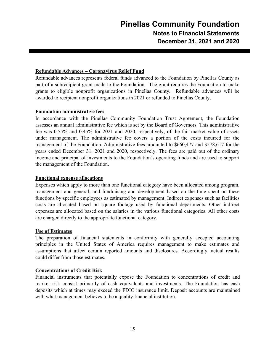#### **Refundable Advances – Coronavirus Relief Fund**

Refundable advances represents federal funds advanced to the Foundation by Pinellas County as part of a subrecipient grant made to the Foundation. The grant requires the Foundation to make grants to eligible nonprofit organizations in Pinellas County. Refundable advances will be awarded to recipient nonprofit organizations in 2021 or refunded to Pinellas County.

#### **Foundation administrative fees**

In accordance with the Pinellas Community Foundation Trust Agreement, the Foundation assesses an annual administrative fee which is set by the Board of Governors. This administrative fee was 0.55% and 0.45% for 2021 and 2020, respectively, of the fair market value of assets under management. The administrative fee covers a portion of the costs incurred for the management of the Foundation. Administrative fees amounted to \$660,477 and \$578,617 for the years ended December 31, 2021 and 2020, respectively. The fees are paid out of the ordinary income and principal of investments to the Foundation's operating funds and are used to support the management of the Foundation.

#### **Functional expense allocations**

Expenses which apply to more than one functional category have been allocated among program, management and general, and fundraising and development based on the time spent on these functions by specific employees as estimated by management. Indirect expenses such as facilities costs are allocated based on square footage used by functional departments. Other indirect expenses are allocated based on the salaries in the various functional categories. All other costs are charged directly to the appropriate functional category.

#### **Use of Estimates**

The preparation of financial statements in conformity with generally accepted accounting principles in the United States of America requires management to make estimates and assumptions that affect certain reported amounts and disclosures. Accordingly, actual results could differ from those estimates.

#### **Concentrations of Credit Risk**

Financial instruments that potentially expose the Foundation to concentrations of credit and market risk consist primarily of cash equivalents and investments. The Foundation has cash deposits which at times may exceed the FDIC insurance limit. Deposit accounts are maintained with what management believes to be a quality financial institution.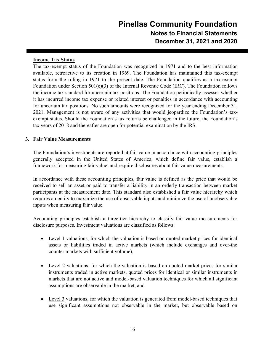#### **Income Tax Status**

The tax-exempt status of the Foundation was recognized in 1971 and to the best information available, retroactive to its creation in 1969. The Foundation has maintained this tax-exempt status from the ruling in 1971 to the present date. The Foundation qualifies as a tax-exempt Foundation under Section 501(c)(3) of the Internal Revenue Code (IRC). The Foundation follows the income tax standard for uncertain tax positions. The Foundation periodically assesses whether it has incurred income tax expense or related interest or penalties in accordance with accounting for uncertain tax positions. No such amounts were recognized for the year ending December 31, 2021. Management is not aware of any activities that would jeopardize the Foundation's taxexempt status. Should the Foundation's tax returns be challenged in the future, the Foundation's tax years of 2018 and thereafter are open for potential examination by the IRS.

#### **3. Fair Value Measurements**

The Foundation's investments are reported at fair value in accordance with accounting principles generally accepted in the United States of America, which define fair value, establish a framework for measuring fair value, and require disclosures about fair value measurements.

In accordance with these accounting principles, fair value is defined as the price that would be received to sell an asset or paid to transfer a liability in an orderly transaction between market participants at the measurement date. This standard also established a fair value hierarchy which requires an entity to maximize the use of observable inputs and minimize the use of unobservable inputs when measuring fair value.

Accounting principles establish a three-tier hierarchy to classify fair value measurements for disclosure purposes. Investment valuations are classified as follows:

- Level 1 valuations, for which the valuation is based on quoted market prices for identical assets or liabilities traded in active markets (which include exchanges and over-the counter markets with sufficient volume),
- Level 2 valuations, for which the valuation is based on quoted market prices for similar instruments traded in active markets, quoted prices for identical or similar instruments in markets that are not active and model-based valuation techniques for which all significant assumptions are observable in the market, and
- $\bullet$  Level 3 valuations, for which the valuation is generated from model-based techniques that use significant assumptions not observable in the market, but observable based on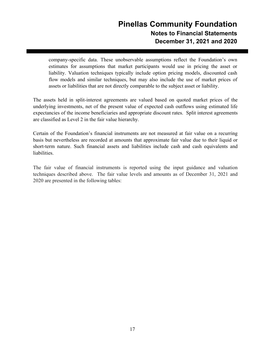company-specific data. These unobservable assumptions reflect the Foundation's own estimates for assumptions that market participants would use in pricing the asset or liability. Valuation techniques typically include option pricing models, discounted cash flow models and similar techniques, but may also include the use of market prices of assets or liabilities that are not directly comparable to the subject asset or liability.

The assets held in split-interest agreements are valued based on quoted market prices of the underlying investments, net of the present value of expected cash outflows using estimated life expectancies of the income beneficiaries and appropriate discount rates. Split interest agreements are classified as Level 2 in the fair value hierarchy.

Certain of the Foundation's financial instruments are not measured at fair value on a recurring basis but nevertheless are recorded at amounts that approximate fair value due to their liquid or short-term nature. Such financial assets and liabilities include cash and cash equivalents and liabilities.

The fair value of financial instruments is reported using the input guidance and valuation techniques described above. The fair value levels and amounts as of December 31, 2021 and 2020 are presented in the following tables: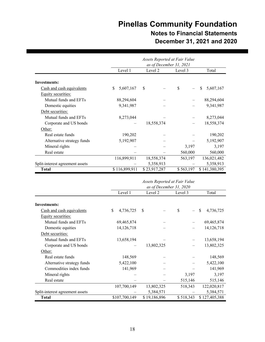|                                 |                 | Assets Reported at Fair Value<br>as of December 31, 2021 |           |                 |
|---------------------------------|-----------------|----------------------------------------------------------|-----------|-----------------|
|                                 | Level 1         | Level 2                                                  | Level 3   | Total           |
| <b>Investments:</b>             |                 |                                                          |           |                 |
| Cash and cash equivalents       | \$<br>5,607,167 | $\mathbb{S}$                                             | \$        | \$<br>5,607,167 |
| Equity securities:              |                 |                                                          |           |                 |
| Mutual funds and EFTs           | 88,294,604      |                                                          |           | 88,294,604      |
| Domestic equities               | 9,341,987       |                                                          |           | 9,341,987       |
| Debt securities:                |                 |                                                          |           |                 |
| Mutual funds and EFTs           | 8,273,044       |                                                          |           | 8,273,044       |
| Corporate and US bonds          |                 | 18,558,374                                               |           | 18,558,374      |
| Other:                          |                 |                                                          |           |                 |
| Real estate funds               | 190,202         |                                                          |           | 190,202         |
| Alternative strategy funds      | 5,192,907       |                                                          |           | 5,192,907       |
| Mineral rights                  |                 |                                                          | 3,197     | 3,197           |
| Real estate                     |                 |                                                          | 560,000   | 560,000         |
|                                 | 116,899,911     | 18,558,374                                               | 563,197   | 136,021,482     |
| Split-interest agreement assets |                 | 5,358,913                                                |           | 5,358,913       |
| <b>Total</b>                    | \$116,899,911   | \$23,917,287                                             | \$563,197 | \$141,380,395   |
|                                 |                 |                                                          |           |                 |
|                                 |                 | Assets Reported at Fair Value                            |           |                 |
|                                 |                 | as of December 31, 2020                                  |           |                 |
|                                 | Level 1         | Level 2                                                  | Level 3   | Total           |
|                                 |                 |                                                          |           |                 |
| <b>Investments:</b>             |                 |                                                          |           |                 |
| Cash and cash equivalents       | S<br>4,736,725  | \$                                                       | \$        | \$<br>4,736,725 |
| Equity securities:              |                 |                                                          |           |                 |
| Mutual funds and EFTs           | 69,465,874      |                                                          |           | 69,465,874      |
| Domestic equities               | 14,126,718      |                                                          |           | 14,126,718      |

|                                 | as of December 31, 2020 |               |    |              |         |           |               |               |
|---------------------------------|-------------------------|---------------|----|--------------|---------|-----------|---------------|---------------|
|                                 |                         | Level 1       |    | Level 2      | Level 3 |           |               | Total         |
|                                 |                         |               |    |              |         |           |               |               |
| <b>Investments:</b>             |                         |               |    |              |         |           |               |               |
| Cash and cash equivalents       | \$                      | 4,736,725     | \$ |              | \$      |           | <sup>\$</sup> | 4,736,725     |
| <b>Equity securities:</b>       |                         |               |    |              |         |           |               |               |
| Mutual funds and EFTs           |                         | 69,465,874    |    |              |         |           |               | 69,465,874    |
| Domestic equities               |                         | 14, 126, 718  |    |              |         |           |               | 14, 126, 718  |
| Debt securities:                |                         |               |    |              |         |           |               |               |
| Mutual funds and EFTs           |                         | 13,658,194    |    |              |         |           |               | 13,658,194    |
| Corporate and US bonds          |                         |               |    | 13,802,325   |         |           |               | 13,802,325    |
| Other:                          |                         |               |    |              |         |           |               |               |
| Real estate funds               |                         | 148,569       |    |              |         |           |               | 148,569       |
| Alternative strategy funds      |                         | 5,422,100     |    |              |         |           |               | 5,422,100     |
| Commodities index funds         |                         | 141,969       |    |              |         |           |               | 141,969       |
| Mineral rights                  |                         |               |    |              |         | 3,197     |               | 3,197         |
| Real estate                     |                         |               |    |              |         | 515,146   |               | 515,146       |
|                                 |                         | 107,700,149   |    | 13,802,325   |         | 518,343   |               | 122,020,817   |
| Split-interest agreement assets |                         |               |    | 5,384,571    |         |           |               | 5,384,571     |
| Total                           |                         | \$107,700,149 |    | \$19,186,896 |         | \$518,343 |               | \$127,405,388 |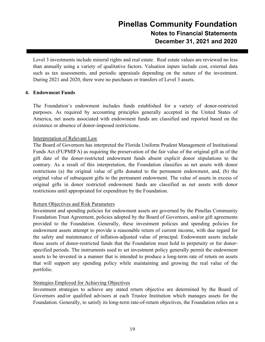Level 3 investments include mineral rights and real estate. Real estate values are reviewed no less than annually using a variety of qualitative factors. Valuation inputs include cost, external data such as tax assessments, and periodic appraisals depending on the nature of the investment. During 2021 and 2020, there were no purchases or transfers of Level 3 assets.

#### **4. Endowment Funds**

The Foundation's endowment includes funds established for a variety of donor-restricted purposes. As required by accounting principles generally accepted in the United States of America, net assets associated with endowment funds are classified and reported based on the existence or absence of donor-imposed restrictions.

#### Interpretation of Relevant Law

The Board of Governors has interpreted the Florida Uniform Prudent Management of Institutional Funds Act (FUPMIFA) as requiring the preservation of the fair value of the original gift as of the gift date of the donor-restricted endowment funds absent explicit donor stipulations to the contrary. As a result of this interpretation, the Foundation classifies as net assets with donor restrictions (a) the original value of gifts donated to the permanent endowment, and, (b) the original value of subsequent gifts to the permanent endowment. The value of assets in excess of original gifts in donor restricted endowment funds are classified as net assets with donor restrictions until appropriated for expenditure by the Foundation.

#### Return Objectives and Risk Parameters

Investment and spending policies for endowment assets are governed by the Pinellas Community Foundation Trust Agreement, policies adopted by the Board of Governors, and/or gift agreements provided to the Foundation. Generally, these investment policies and spending policies for endowment assets attempt to provide a reasonable return of current income, with due regard for the safety and maintenance of inflation-adjusted value of principal. Endowment assets include those assets of donor-restricted funds that the Foundation must hold in perpetuity or for donorspecified periods. The instruments used to set investment policy generally permit the endowment assets to be invested in a manner that is intended to produce a long-term rate of return on assets that will support any spending policy while maintaining and growing the real value of the portfolio.

#### Strategies Employed for Achieving Objectives

Investment strategies to achieve any stated return objective are determined by the Board of Governors and/or qualified advisors at each Trustee Institution which manages assets for the Foundation. Generally, to satisfy its long-term rate-of-return objectives, the Foundation relies on a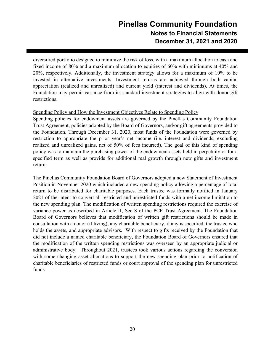diversified portfolio designed to minimize the risk of loss, with a maximum allocation to cash and fixed income of 80% and a maximum allocation to equities of 60% with minimums at 40% and 20%, respectively. Additionally, the investment strategy allows for a maximum of 10% to be invested in alternative investments. Investment returns are achieved through both capital appreciation (realized and unrealized) and current yield (interest and dividends). At times, the Foundation may permit variance from its standard investment strategies to align with donor gift restrictions.

#### Spending Policy and How the Investment Objectives Relate to Spending Policy

Spending policies for endowment assets are governed by the Pinellas Community Foundation Trust Agreement, policies adopted by the Board of Governors, and/or gift agreements provided to the Foundation. Through December 31, 2020, most funds of the Foundation were governed by restriction to appropriate the prior year's net income (i.e. interest and dividends, excluding realized and unrealized gains, net of 50% of fees incurred). The goal of this kind of spending policy was to maintain the purchasing power of the endowment assets held in perpetuity or for a specified term as well as provide for additional real growth through new gifts and investment return.

The Pinellas Community Foundation Board of Governors adopted a new Statement of Investment Position in November 2020 which included a new spending policy allowing a percentage of total return to be distributed for charitable purposes. Each trustee was formally notified in January 2021 of the intent to convert all restricted and unrestricted funds with a net income limitation to the new spending plan. The modification of written spending restrictions required the exercise of variance power as described in Article II, Sec 8 of the PCF Trust Agreement. The Foundation Board of Governors believes that modification of written gift restrictions should be made in consultation with a donor (if living), any charitable beneficiary, if any is specified, the trustee who holds the assets, and appropriate advisors. With respect to gifts received by the Foundation that did not include a named charitable beneficiary, the Foundation Board of Governors ensured that the modification of the written spending restrictions was overseen by an appropriate judicial or administrative body. Throughout 2021, trustees took various actions regarding the conversion with some changing asset allocations to support the new spending plan prior to notification of charitable beneficiaries of restricted funds or court approval of the spending plan for unrestricted funds.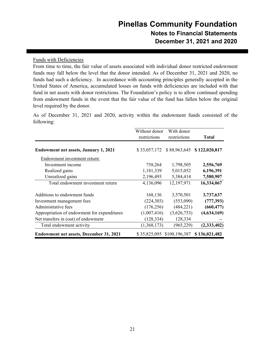#### Funds with Deficiencies

From time to time, the fair value of assets associated with individual donor restricted endowment funds may fall below the level that the donor intended. As of December 31, 2021 and 2020, no funds had such a deficiency. In accordance with accounting principles generally accepted in the United States of America, accumulated losses on funds with deficiencies are included with that fund in net assets with donor restrictions. The Foundation's policy is to allow continued spending from endowment funds in the event that the fair value of the fund has fallen below the original level required by the donor.

As of December 31, 2021 and 2020, activity within the endowment funds consisted of the following:

|                                                | Without donor<br>restrictions | With donor<br>restrictions | <b>Total</b>  |
|------------------------------------------------|-------------------------------|----------------------------|---------------|
| <b>Endowment net assets, January 1, 2021</b>   | \$33,057,172                  | \$88,963,645               | \$122,020,817 |
| Endowment investment return:                   |                               |                            |               |
| Investment income                              | 758,264                       | 1,798,505                  | 2,556,769     |
| Realized gains                                 | 1,181,339                     | 5,015,052                  | 6,196,391     |
| Unrealized gains                               | 2,196,493                     | 5,384,414                  | 7,580,907     |
| Total endowment investment return              | 4,136,096                     | 12, 197, 971               | 16,334,067    |
| Additions to endowment funds                   | 168,136                       | 3,570,501                  | 3,737,637     |
| Investment management fees                     | (224, 303)                    | (553,090)                  | (777, 393)    |
| Administrative fees                            | (176, 256)                    | (484, 221)                 | (660, 477)    |
| Appropriation of endowment for expenditures    | (1,007,416)                   | (3,626,753)                | (4,634,169)   |
| Net transfers in (out) of endowment            | (128, 334)                    | 128,334                    |               |
| Total endowment activity                       | (1,368,173)                   | (965, 229)                 | (2, 333, 402) |
| <b>Endowment net assets, December 31, 2021</b> | \$35,825,095                  | \$100,196,387              | \$136,021,482 |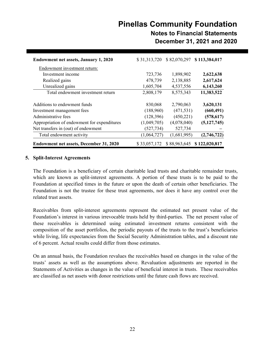| <b>Endowment net assets, January 1, 2020</b>   | \$31,313,720 | \$82,070,297 | \$113,384,017 |
|------------------------------------------------|--------------|--------------|---------------|
| Endowment investment return:                   |              |              |               |
| Investment income                              | 723,736      | 1,898,902    | 2,622,638     |
| Realized gains                                 | 478,739      | 2,138,885    | 2,617,624     |
| Unrealized gains                               | 1,605,704    | 4,537,556    | 6,143,260     |
| Total endowment investment return              | 2,808,179    | 8,575,343    | 11,383,522    |
| Additions to endowment funds                   | 830,068      | 2,790,063    | 3,620,131     |
| Investment management fees                     | (188,960)    | (471, 531)   | (660, 491)    |
| Administrative fees                            | (128, 396)   | (450, 221)   | (578, 617)    |
| Appropriation of endowment for expenditures    | (1,049,705)  | (4,078,040)  | (5, 127, 745) |
| Net transfers in (out) of endowment            | (527, 734)   | 527,734      |               |
| Total endowment activity                       | (1,064,727)  | (1,681,995)  | (2,746,722)   |
| <b>Endowment net assets, December 31, 2020</b> | \$33,057,172 | \$88,963,645 | \$122,020,817 |

#### **5. Split-Interest Agreements**

The Foundation is a beneficiary of certain charitable lead trusts and charitable remainder trusts, which are known as split-interest agreements. A portion of these trusts is to be paid to the Foundation at specified times in the future or upon the death of certain other beneficiaries. The Foundation is not the trustee for these trust agreements, nor does it have any control over the related trust assets.

Receivables from split-interest agreements represent the estimated net present value of the Foundation's interest in various irrevocable trusts held by third-parties. The net present value of these receivables is determined using estimated investment returns consistent with the composition of the asset portfolios, the periodic payouts of the trusts to the trust's beneficiaries while living, life expectancies from the Social Security Administration tables, and a discount rate of 6 percent. Actual results could differ from those estimates.

On an annual basis, the Foundation revalues the receivables based on changes in the value of the trusts' assets as well as the assumptions above. Revaluation adjustments are reported in the Statements of Activities as changes in the value of beneficial interest in trusts. These receivables are classified as net assets with donor restrictions until the future cash flows are received.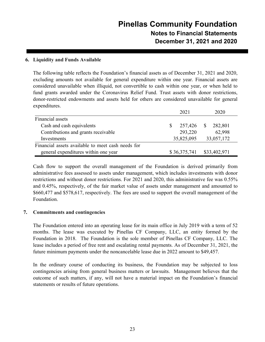#### **6. Liquidity and Funds Available**

The following table reflects the Foundation's financial assets as of December 31, 2021 and 2020, excluding amounts not available for general expenditure within one year. Financial assets are considered unavailable when illiquid, not convertible to cash within one year, or when held to fund grants awarded under the Coronavirus Relief Fund. Trust assets with donor restrictions, donor-restricted endowments and assets held for others are considered unavailable for general expenditures.

|                                                   | 2021          | 2020                      |
|---------------------------------------------------|---------------|---------------------------|
| Financial assets                                  |               |                           |
| Cash and cash equivalents                         | 257,426<br>S. | $\mathbb{S}^-$<br>282,801 |
| Contributions and grants receivable               | 293,220       | 62,998                    |
| Investments                                       | 35,825,095    | 33,057,172                |
| Financial assets available to meet cash needs for |               |                           |
| general expenditures within one year              | \$36,375,741  | \$33,402,971              |

Cash flow to support the overall management of the Foundation is derived primarily from administrative fees assessed to assets under management, which includes investments with donor restrictions and without donor restrictions. For 2021 and 2020, this administrative fee was 0.55% and 0.45%, respectively, of the fair market value of assets under management and amounted to \$660,477 and \$578,617, respectively. The fees are used to support the overall management of the Foundation.

#### **7. Commitments and contingencies**

The Foundation entered into an operating lease for its main office in July 2019 with a term of 52 months. The lease was executed by Pinellas CF Company, LLC, an entity formed by the Foundation in 2018. The Foundation is the sole member of Pinellas CF Company, LLC. The lease includes a period of free rent and escalating rental payments. As of December 31, 2021, the future minimum payments under the noncancelable lease due in 2022 amount to \$49,457.

In the ordinary course of conducting its business, the Foundation may be subjected to loss contingencies arising from general business matters or lawsuits. Management believes that the outcome of such matters, if any, will not have a material impact on the Foundation's financial statements or results of future operations.